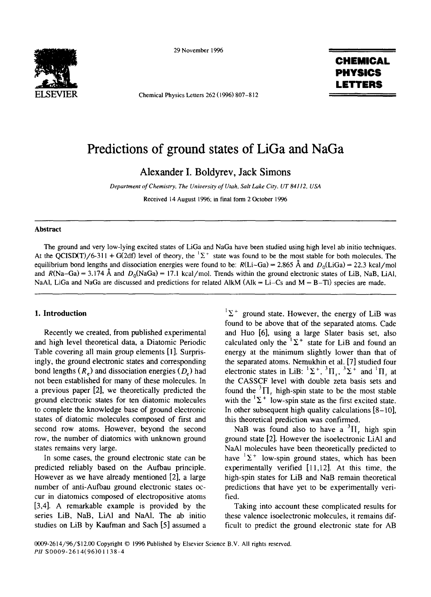

29 November 1996

Chemical Physics Letters 262 (1996) 807-812

## **CHEMICAL PHYSICS LETTERS**

# **Predictions of ground states of LiGa and NaGa**

**Alexander I. Boldyrev, Jack Simons** 

*Department of Chemistry, The University of Utah, Salt Lake City. UT 84112. USA* 

Received 14 August 1996; in final form 2 October 1996

## **Abstract**

The ground and very low-lying excited states of LiGa and NaGa have been studied using high level ab initio techniques. At the QCISD(T)/6-311 + G(2df) level of theory, the  ${}^{1}\Sigma^{+}$  state was found to be the most stable for both molecules. The equilibrium bond lengths and dissociation energies were found to be:  $R(Li-Ga) = 2.865$  Å and  $D_0(LiGa) = 22.3$  kcal/mol and  $R(Na-Ga) = 3.174 \text{ Å}$  and  $D_0(NaGa) = 17.1$  kcal/mol. Trends within the ground electronic states of LiB, NaB, LiAl, NaAl, LiGa and NaGa are discussed and predictions for related AlkM (Alk = Li-Cs and  $M = B-TI$ ) species are made.

## **1. Introduction**

Recently we created, from published experimental and high level theoretical data, a Diatomic Periodic Table covering all main group elements [1]. Surprisingly, the ground electronic states and corresponding bond lengths  $(R_a)$  and dissociation energies  $(D_a)$  had not been established for many of these molecules. In a previous paper [2], we theoretically predicted the ground electronic states for ten diatomic molecules to complete the knowledge base of ground electronic states of diatomic molecules composed of first and second row atoms. However, beyond the second row, the number of diatomics with unknown ground states remains very large.

In some cases, the ground electronic state can be predicted reliably based on the Aufbau principle. However as we have already mentioned [2], a large number of anti-Aufbau ground electronic states occur in diatomics composed of electropositive atoms [3,4]. A remarkable example is provided by the series LiB, NaB, LiAI and NaA1. The ab initio studies on LiB by Kaufman and Sach [5] assumed a

 $^1\Sigma^+$  ground state. However, the energy of LiB was found to be above that of the separated atoms. Cade and Huo [6], using a large Slater basis set, also calculated only the  $E^{\perp}$  state for LiB and found an energy at the minimum slightly lower than that of the separated atoms. Nemukhin et al. [7] studied four electronic states in LiB:  ${}^{1}\Sigma^{+}$ ,  ${}^{3}\Pi_{1}$ ,  ${}^{3}\Sigma^{+}$  and  ${}^{1}\Pi_{1}$  at the CASSCF level with double zeta basis sets and found the  ${}^{3}\Pi_{r}$  high-spin state to be the most stable with the  ${}^{1}\Sigma^{+}$  low-spin state as the first excited state. In other subsequent high quality calculations  $[8-10]$ , this theoretical prediction was confirmed.

NaB was found also to have a  ${}^{3}$ H<sub>r</sub> high spin ground state [2]. However the isoelectronic LiA1 and NaAI molecules have been theoretically predicted to have  ${}^{1}\Sigma^{+}$  low-spin ground states, which has been experimentally verified [11,12]. At this time, the high-spin states for LiB and NaB remain theoretical predictions that have yet to be experimentally verified.

Taking into account these complicated results for these valence isoelectronic molecules, it remains difficult to predict the ground electronic state for AB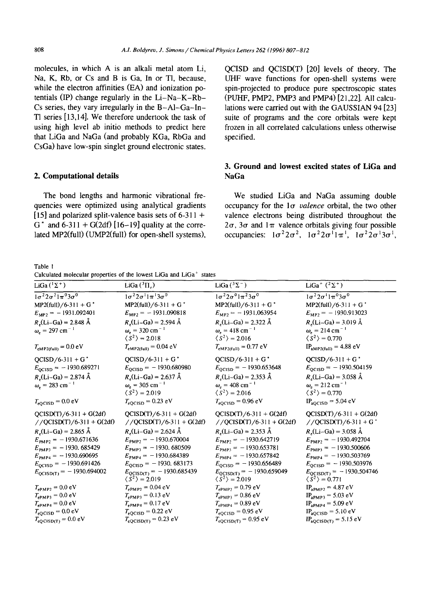**molecules, in which A is an alkali metal atom Li, Na, K, Rb, or Cs and B is Ga, In or T1, because, while the electron affinities (EA) and ionization potentials (IP) change regularly in the Li-Na-K-Rb-Cs series, they vary irregularly in the B-AI-Ga-In-T1 series [13,14]. We therefore undertook the task of using high level ab initio methods to predict here that LiGa and NaGa (and probably KGa, RbGa and CsGa) have low-spin singlet ground electronic states.** 

## **2. Computational details**

**The bond lengths and harmonic vibrational frequencies were optimized using analytical gradients [15] and polarized split-valence basis sets of 6-311 +**   $G^*$  and  $6-311 + G(2df)$  [16-19] quality at the corre**lated MP2(full) (UMP2(fuI1) for open-shell systems),** 

**Table** 1  $\mathbf{u} = \mathbf{v}$  and  $\mathbf{v} = \mathbf{v}$  and  $\mathbf{v} = \mathbf{v}$ **Calculated molecular properties of the lowest LiGa and LiGa + states** 

**QCISD and QCISD(T) [20] levels of theory. The UHF wave functions for open-shell systems were spin-projected to produce pure spectroscopic states (PUHF, PMP2, PMP3 and PMP4) [21,22]. All calculations were carried out with the GAUSSIAN 94 [23] suite of programs and the core orbitals were kept frozen in all correlated calculations unless otherwise specified.** 

## **3. Ground and lowest excited states of LiGa and NaGa**

**We studied LiGa and NaGa assuming double occupancy for the 100** *valence* **orbital, the two other valence electrons being distributed throughout the**   $2\sigma$ ,  $3\sigma$  and  $1\pi$  valence orbitals giving four possible occupancies:  $1\sigma^2 2\sigma^2$ ,  $1\sigma^2 2\sigma^1 1\pi^1$ ,  $1\sigma^2 2\sigma^1 3\sigma^1$ ,

| Calculated molecular properties of the lowest LiOa and LiOa states                                                                                                                                                                                                                                                                                                                                      |                                                                                                                                                                                                                                                                                                                                                                                                                                                                                            |                                                                                                                                                                                                                                                                                                                                                                                                                                                                                    |                                                                                                                                                                                                                                                                                                                                                                                                                                  |  |  |  |  |
|---------------------------------------------------------------------------------------------------------------------------------------------------------------------------------------------------------------------------------------------------------------------------------------------------------------------------------------------------------------------------------------------------------|--------------------------------------------------------------------------------------------------------------------------------------------------------------------------------------------------------------------------------------------------------------------------------------------------------------------------------------------------------------------------------------------------------------------------------------------------------------------------------------------|------------------------------------------------------------------------------------------------------------------------------------------------------------------------------------------------------------------------------------------------------------------------------------------------------------------------------------------------------------------------------------------------------------------------------------------------------------------------------------|----------------------------------------------------------------------------------------------------------------------------------------------------------------------------------------------------------------------------------------------------------------------------------------------------------------------------------------------------------------------------------------------------------------------------------|--|--|--|--|
| LiGa $(^1\Sigma^+)$                                                                                                                                                                                                                                                                                                                                                                                     | LiGa $(^3\Pi)$ .                                                                                                                                                                                                                                                                                                                                                                                                                                                                           | LiGa $(^3\Sigma^-)$                                                                                                                                                                                                                                                                                                                                                                                                                                                                | LiGa <sup>+</sup> $(^{2}\Sigma^{+})$                                                                                                                                                                                                                                                                                                                                                                                             |  |  |  |  |
| $1\sigma^2 2\sigma^2 1\pi^0 3\sigma^0$<br>$MP2(full)/6-311+G'$<br>$E_{MP2}$ = -1931.092401<br>$R_{\star}$ (Li-Ga) = 2.848 Å<br>$\omega_e = 297$ cm <sup>-1</sup><br>$T_{eMP2(full)} = 0.0 eV$                                                                                                                                                                                                           | $1\sigma^2 2\sigma^1 1\pi^1 3\sigma^0$<br>$MP2(full)/6-311 + G'$<br>$E_{MP2} = -1931.090818$<br>$R_e$ (Li-Ga) = 2.594 Å<br>$\omega_e = 320$ cm <sup>-1</sup><br>$\langle S^2 \rangle = 2.018$<br>$T_{eMP2(full)} = 0.04 eV$                                                                                                                                                                                                                                                                | $1\sigma^2 2\sigma^0 1\pi^2 3\sigma^0$<br>$MP2$ (full)/6-311 + G <sup>*</sup><br>$E_{MP2} = -1931.063954$<br>$R_e$ (Li-Ga) = 2.322 Å<br>$\omega_e = 418$ cm <sup>-1</sup><br>$\langle S^2 \rangle = 2.016$<br>$T_{eMP2(full)} = 0.77 eV$                                                                                                                                                                                                                                           | $1\sigma^2 2\sigma^1 1\pi^0 3\sigma^0$<br>$MP2(full)/6-311 + G^*$<br>$E_{MP2} = -1930.913023$<br>$R_e$ (Li-Ga) = 3.019 Å<br>$\omega_e = 214 \text{ cm}^{-1}$<br>$\langle S^2 \rangle = 0.770$<br>$IP_{aMP2(full)} = 4.88 eV$                                                                                                                                                                                                     |  |  |  |  |
| $QCISD/6-311 + G'$<br>$E_{\text{QC}1SD} = -1930.689271$<br>$R_e(Li-Ga) = 2.874 \text{ Å}$<br>$\omega_e = 283$ cm <sup>-1</sup><br>$T_{\text{eQCISD}} = 0.0 \text{ eV}$                                                                                                                                                                                                                                  | $QCISD/6-311 + G'$<br>$E_{\text{QCISD}} = -1930.680980$<br>$R_e$ (Li-Ga) = 2.637 Å<br>$\omega_e = 305$ cm <sup>-1</sup><br>$\langle \bar{S}^2 \rangle = 2.019$<br>$T_{eQCISD} = 0.23$ eV                                                                                                                                                                                                                                                                                                   | $QCISD/6-311 + G'$<br>$E_{QCISD} = -1930.653648$<br>$R_c$ (Li-Ga) = 2.353 Å<br>$\omega_e = 408$ cm <sup>-1</sup><br>$\langle S^2 \rangle = 2.016$<br>$T_{\text{eQCISD}} = 0.96 \text{ eV}$                                                                                                                                                                                                                                                                                         | $QCISD/6-311 + G'$<br>$E_{QCISD} = -1930.504159$<br>$R_e(Li-Ga) = 3.058 \text{ Å}$<br>$\omega_e = 212$ cm <sup>-1</sup><br>$\langle S^2 \rangle = 0.770$<br>$IP_{aQCISD} = 5.04$ eV                                                                                                                                                                                                                                              |  |  |  |  |
| $QCISD(T)/6-311 + G(2df)$<br>$//QCISD(T)/6-311 + G(2df)$<br>$R_e$ (Li-Ga) = 2.865 Å<br>$E_{PMP2}$ = -1930.671636<br>$E_{PMP3}$ = -1930. 685429<br>$E_{PMP4} = -1930.690695$<br>$E_{QCISD} = -1930.691426$<br>$E_{QCISD(T)} = -1930.694002$<br>$T_{\rm ePMP2}=0.0~{\rm eV}$<br>$T_{\rm ePMP3}=0.0~{\rm eV}$<br>$T_{\rm ePMP4}=0.0~{\rm eV}$<br>$T_{\rm eQCISD}=0.0~{\rm eV}$<br>$T_{eQCISD(T)} = 0.0 eV$ | $QCISD(T)/6-311 + G(2df)$<br>//QCISD(T)/6-311 + G(2df)<br>$R_e(Li-Ga) = 2.624 \text{ Å}$<br>$E_{\text{PMP2}} = -1930.670004$<br>$E_{\text{PMP3}} = -1930.680509$<br>$E_{\text{PMP4}} = -1930.684389$<br>$E_{QCISD} = -1930.683173$<br>$E_{QC(SD(T))} = -1930.685439$<br>$\langle S^2 \rangle = 2.019$<br>$T_{\rm ePMP2} = 0.04 \text{ eV}$<br>$T_{\rm ePMP3} = 0.13 \text{ eV}$<br>$T_{\rm ePMP4} = 0.17 \text{ eV}$<br>$T_{\text{eQC}ISD} = 0.22 \text{ eV}$<br>$T_{eQCISD(T)} = 0.23 eV$ | $QCISD(T)/6-311 + G(2df)$<br>//QCISD(T)/6-311 + G(2df)<br>$R_e(Li-Ga) = 2.353 \text{ Å}$<br>$E_{\text{PMP2}} = -1930.642719$<br>$E_{PMP3} = -1930.653781$<br>$E_{\text{PMP4}} = -1930.657842$<br>$E_{\text{QC}1SD} = -1930.656489$<br>$E_{QC(SD(T))} = -1930.659049$<br>$\langle S^2 \rangle = 2.019$<br>$T_{\rm ePMP2}=0.79~{\rm eV}$<br>$T_{\rm ePMP3} = 0.86 \text{ eV}$<br>$T_{\rm ePMP4}=0.89~{\rm eV}$<br>$T_{\text{eQCISD}} = 0.95 \text{ eV}$<br>$T_{eQCISD(T)} = 0.95$ eV | $QCISD(T)/6-311 + G(2df)$<br>$//QCISD(T)/6-311+G'$<br>$R_e$ (Li-Ga) = 3.058 Å<br>$E_{\text{PMP2}} = -1930.492704$<br>$E_{\text{PMP3}} = -1930.500606$<br>$E_{\text{PMP4}} = -1930.503769$<br>$E_{QCISD} = -1930.503976$<br>$E_{QCISD(T)} = -1930.504746$<br>$\langle S^2 \rangle = 0.771$<br>$IP_{aPMP2} = 4.87 eV$<br>$IP_{aPMP3} = 5.03$ eV<br>$IP_{aPMP4} = 5.09$ eV<br>$IP_{aQCISD} = 5.10 eV$<br>$IP_{aQCISD(T)} = 5.15 eV$ |  |  |  |  |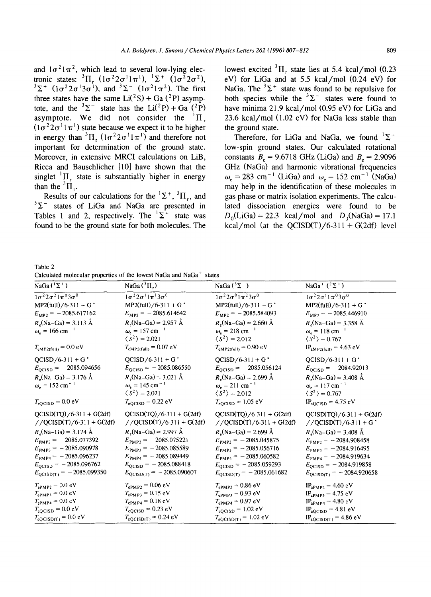and  $1\sigma^2 1\pi^2$ , which lead to several low-lying elec**tronic states:**  ${}^{3}$ H,  $(1\sigma^{2}2\sigma^{1}1\pi^{1}), {}^{1}\Sigma^{+}$   $(1\sigma^{2}2\sigma^{1})$  ${}^{3}\Sigma^{+}$  ( $1\sigma^{2}2\sigma^{1}3\sigma^{1}$ ), and  ${}^{3}\Sigma^{-}$  ( $1\sigma^{2}1\pi^{2}$ ). The first three states have the same  $Li(^{2}S) + Ga(^{2}P)$  asymptote, and the  ${}^{3}\Sigma^{-}$  state has the Li(<sup>2</sup>P) + Ga <sup>(2</sup>P) asymptote. We did not consider the  ${}^{1}$  $\Pi$ .  $(1\sigma^2 2\sigma^1 1\pi^1)$  state because we expect it to be higher in energy than <sup>3</sup> $\Pi_r$  ( $1\sigma^2 2\sigma^1 1\pi^1$ ) and therefore not **important for determination of the ground state. Moreover, in extensive MRCI calculations on LiB, Ricca and Bauschlicher [10] have shown that the**   $singlet$ <sup> $1$ </sup> $II$ , state is substantially higher in energy than the  ${}^3\Pi$ ..

**Results of our calculations for the**  $^1\Sigma^+$ **,**  $^3\Pi$ **, and** results of our electronions for the  $2^{\circ}$ ,  $1^{\circ}$ , the  $3^{\circ}$  states of LiGa and NaGa are presented in Tables 1 and 2, respectively. The  ${}^{1}\Sigma^{+}$  state was **found to be the ground state for both molecules.** The

lowest excited  ${}^{3}$ II, state lies at 5.4 kcal/mol (0.23) **eV) for LiGa and at 5.5 kcal/mol (0.24 eV) for**  NaGa. The  ${}^{3}\Sigma^{+}$  state was found to be repulsive for both species while the  ${}^{3}\Sigma^{-}$  states were found to **have minima 21.9 kcal/mol (0.95 eV) for LiGa and 23.6 kcal/mol (1.02 eV) for NaGa less stable than the ground state.** 

Therefore, for LiGa and NaGa, we found  ${}^{1}\Sigma^{+}$ **low-spin ground states. Our calculated rotational**  constants  $B_e = 9.6718 \text{ GHz (LiGa)}$  and  $B_e = 2.9096$ **GHz (NaGa) and harmonic vibrational frequencies**   $\omega_e = 283$  cm<sup>-1</sup> (LiGa) and  $\omega_e = 152$  cm<sup>-1</sup> (NaGa) **may help in the identification of these molecules in gas phase or matrix isolation experiments. The calculated dissociation energies were found to be**   $D_0(LiGa) = 22.3$  kcal/mol and  $D_0(NaGa) = 17.1$  $kcal/mol$  (at the OCISD(T)/6-311 + G(2df) level

**Table** 2 **Calculated molecular properties of the lowest NaGa and NaGa + states** 

| cancenate molecular properties of                                                                                                                                                                                                                                             |                                                                                                                                                                                                                                                                                    |                                                                                                                                                                                                                                                                                    |                                                                                                                                                                                                                                                                  |  |  |  |  |
|-------------------------------------------------------------------------------------------------------------------------------------------------------------------------------------------------------------------------------------------------------------------------------|------------------------------------------------------------------------------------------------------------------------------------------------------------------------------------------------------------------------------------------------------------------------------------|------------------------------------------------------------------------------------------------------------------------------------------------------------------------------------------------------------------------------------------------------------------------------------|------------------------------------------------------------------------------------------------------------------------------------------------------------------------------------------------------------------------------------------------------------------|--|--|--|--|
| NaGa $(^1\Sigma^+)$                                                                                                                                                                                                                                                           | NaGa $(^3\Pi_r)$                                                                                                                                                                                                                                                                   | NaGa $(^3\Sigma^-)$                                                                                                                                                                                                                                                                | NaGa <sup>+</sup> $(^{2} \Sigma^{+})$                                                                                                                                                                                                                            |  |  |  |  |
| $\sqrt{1\sigma^2}2\sigma^2\sqrt{1\pi^0}3\sigma^0$<br>$MP2(full)/6-311 + G'$<br>$E_{MP2}$ = -2085.617162<br>$R_e(\text{Na-Ga}) = 3.113 \text{ Å}$<br>$\omega_e = 166$ cm <sup>-1</sup><br>$T_{\rm eMP2(full)}=0.0~{\rm eV}$                                                    | $1\sigma^2 2\sigma^1 1\pi^1 3\sigma^0$<br>$MP2(full)/6-311+G'$<br>$E_{\text{MP2}} = -2085.614642$<br>$R_e(\text{Na-Ga}) = 2.957 \text{ Å}$<br>$\omega_{\rm e} = 157$ cm <sup>-1</sup><br>$\langle S^2 \rangle = 2.021$<br>$T_{\text{eMP2(full)}} = 0.07 \text{ eV}$                | $1\sigma^2 2\sigma^0 1\pi^2 3\sigma^0$<br>$MP2$ (full)/6-311 + G <sup>*</sup><br>$E_{MP2}$ = -2085.584093<br>$R_e(\text{Na-Ga}) = 2.660 \text{ Å}$<br>$\omega_e = 218$ cm <sup>-1</sup><br>$\langle S^2 \rangle$ = 2.012<br>$T_{eMP2(full)} = 0.90 eV$                             | $1\sigma^2 2\sigma^1 1\pi^0 3\sigma^0$<br>$MP2(full) / 6-311 + G$<br>$E_{MP2}$ = -2085.446910<br>$R_e(Na-Ga) = 3.358 \text{ Å}$<br>$\omega_e = 118$ cm <sup>-1</sup><br>$\langle S^2 \rangle = 0.767$<br>$IP_{aMP2(full)} = 4.63 eV$                             |  |  |  |  |
| $QCISD/6-311+G'$<br>$E_{QCISD} = -2085.094656$<br>$R_e(\text{Na-Ga}) = 3.176 \text{ Å}$<br>$\omega_e = 152$ cm <sup>-1</sup><br>$T_{\text{eQCISD}} = 0.0 \text{ eV}$                                                                                                          | $QCISD/6-311 + G'$<br>$E_{\text{QC}1SD} = -2085.086550$<br>$R_e(\text{Na-Ga}) = 3.021 \text{ Å}$<br>$\omega_e = 145$ cm <sup>-1</sup><br>$\langle S^2 \rangle = 2.021$<br>$T_{\text{eQCISD}} = 0.22 \text{ eV}$                                                                    | $QCISD/6-311 + G*$<br>$E_{\text{QCISD}} = -2085.056124$<br>$R_e(\text{Na-Ga}) = 2.699 \text{ Å}$<br>$\omega_e = 211$ cm <sup>-1</sup><br>$\langle S^2 \rangle = 2.012$<br>$T_{\text{eQCISD}} = 1.05 \text{ eV}$                                                                    | $QCISD/6-311 + G^*$<br>$E_{\text{QC}1SD} = -2084.92013$<br>$R_e(\text{Na}-\text{Ga}) = 3.408 \text{ Å}$<br>$\omega_e = 117$ cm <sup>-1</sup><br>$\langle S^2 \rangle$ = 0.767<br>$IP_{aQCISD} = 4.75$ eV                                                         |  |  |  |  |
| $QCISD(TQ)/6-311 + G(2df)$<br>$//QCISD(T)/6-311 + G(2df)$<br>$R_e(\text{Na-Ga}) = 3.174 \text{ Å}$<br>$E_{\text{PMP2}} = -2085.077392$<br>$E_{PMP3} = -2085.090978$<br>$E_{\text{PMP4}} = -2085.096237$<br>$E_{\text{QC}1SD} = -2085.096762$<br>$E_{QCISD(T)} = -2085.099350$ | $QCISD(TQ)/6-311 + G(2df)$<br>//QCISD(T)/6-311 + G(2df)<br>$R_e(\text{Na-Ga}) = 2.997 \text{ Å}$<br>$E_{\text{PMP2}} = -2085.075221$<br>$E_{\text{PMP3}} = -2085.085589$<br>$E_{\text{PMP4}} = -2085.089449$<br>$E_{\text{QCISD}} = -2085.088418$<br>$E_{QCISD(T)} = -2085.090607$ | $QCISD(TQ)/6-311 + G(2df)$<br>//QCISD(T)/6-311 + G(2df)<br>$R_e(\text{Na-Ga}) = 2.699 \text{ Å}$<br>$E_{\text{PMP2}} = -2085.045875$<br>$E_{\text{PMP3}} = -2085.056716$<br>$E_{\text{PMP4}} = -2085.060582$<br>$E_{\text{QCISD}} = -2085.059293$<br>$E_{QCISD(T)} = -2085.061682$ | $QCISD(TQ)/6-311 + G(2df)$<br>$//QCISD(T)/6-311+G*$<br>$R_e(\text{Na}-\text{Ga}) = 3.408 \text{ Å}$<br>$E_{\text{PMP2}} = -2084.908458$<br>$E_{PMP3} = -2084.916495$<br>$E_{PMP4}$ = -2084.919634<br>$E_{QCISD} = -2084.919858$<br>$E_{QCISD(T)} = -2084.920658$ |  |  |  |  |
| $T_{\rm ePMP2}=0.0~{\rm eV}$<br>$T_{\rm ePMP3}=0.0~{\rm eV}$<br>$T_{\rm ePMP4}=0.0~{\rm eV}$<br>$T_{\rm eQCISD}=0.0~{\rm eV}$<br>$T_{eQCISD(T)} = 0.0 eV$                                                                                                                     | $T_{\rm ePMP2}=0.06~{\rm eV}$<br>$T_{\rm ePMP3} = 0.15~{\rm eV}$<br>$T_{\rm ePMP4}=0.18~{\rm eV}$<br>$T_{\text{eQCISD}} = 0.23 \text{ eV}$<br>$T_{eQCISD(T)} = 0.24 eV$                                                                                                            | $T_{\rm ePMP2} = 0.86~{\rm eV}$<br>$T_{\rm ePMP3} = 0.93~{\rm eV}$<br>$T_{\rm ePMP4}=0.97~{\rm eV}$<br>$T_{\text{eQC}1SD} = 1.02 \text{ eV}$<br>$T_{eQCISD(T)} = 1.02 eV$                                                                                                          | $IP_{aPMP2} = 4.60 eV$<br>$IP_{aPMP3} = 4.75 \text{ eV}$<br>$IP_{aPMP4} = 4.80 \text{ eV}$<br>$IP_{aQCISD} = 4.81$ eV<br>$IP_{aQCISD(T)} = 4.86$ eV                                                                                                              |  |  |  |  |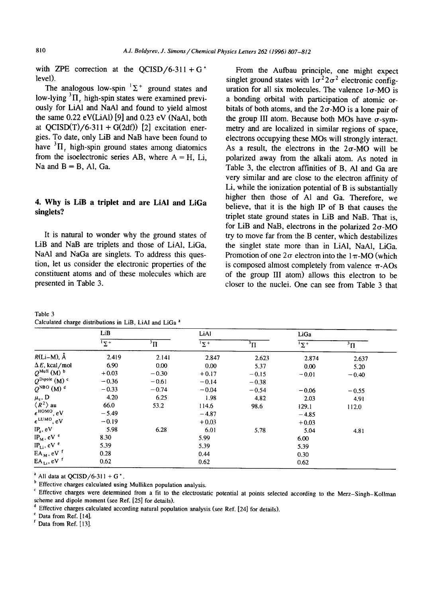with ZPE correction at the  $OCISD/6-311 + G^*$ level).

The analogous low-spin  ${}^{1}\Sigma^{+}$  ground states and low-lying  ${}^{3}$ II, high-spin states were examined previously for LiAl and NaAl and found to yield almost the same 0.22 eV(LiA1) [9] and 0.23 eV (NaA1, both at  $QCISD(T)/6-311 + G(2df)$  [2] excitation energies. To date, only LiB and NaB have been found to have  ${}^{3}$ II, high-spin ground states among diatomics from the isoelectronic series AB, where  $A = H$ , Li, Na and  $B = B$ , Al, Ga.

## **4. Why is LiB a triplet and are LiAI and LiGa singlets?**

It is natural to wonder why the ground states of LiB and NaB are triplets and those of LiAI, LiGa, NaAI and NaGa are singlets. To address this question, let us consider the electronic properties of the constituent atoms and of these molecules which are presented in Table 3.

| Table 3                                                            |  |  |  |
|--------------------------------------------------------------------|--|--|--|
| Calculated charge distributions in LiB, LiAl and LiGa <sup>a</sup> |  |  |  |

From the Aufbau principle, one might expect singlet ground states with  $1\sigma^2 2\sigma^2$  electronic configuration for all six molecules. The valence  $1\sigma$ -MO is a bonding orbital with participation of atomic orbitals of both atoms, and the  $2\sigma$ -MO is a lone pair of the group III atom. Because both MOs have  $\sigma$ -symmetry and are localized in similar regions of space, electrons occupying these MOs will strongly interact. As a result, the electrons in the  $2\sigma$ -MO will be polarized away from the alkali atom. As noted in Table 3, the electron affinities of B, AI and Ga are very similar and are close to the electron affinity of Li, while the ionization potential of B is substantially higher then those of A1 and Ga. Therefore, we believe, that it is the high IP of B that causes the triplet state ground states in LiB and NaB. That is, for LiB and NaB, electrons in the polarized  $2\sigma$ -MO try to move far from the B center, which destabilizes the singlet state more than in LiAi, NaA1, LiGa. Promotion of one  $2\sigma$  electron into the 1 $\pi$ -MO (which is composed almost completely from valence  $\pi$ -AOs of the group III atom) allows this electron to be closer to the nuclei. One can see from Table 3 that

|                                     | LiB        |                               | LiAl                   |             | LiGa             |              |
|-------------------------------------|------------|-------------------------------|------------------------|-------------|------------------|--------------|
|                                     | $\sqrt{2}$ | $\overline{\overline{}}^3\Pi$ | $\overline{1\Sigma^+}$ | $\rm ^3\Pi$ | $\overline{2^+}$ | $\rm{^3\Pi}$ |
| $R(Li-M), \tilde{A}$                | 2.419      | 2.141                         | 2.847                  | 2.623       | 2.874            | 2.637        |
| $\Delta E$ , kcal/mol               | 6.90       | 0.00                          | 0.00                   | 5.37        | 0.00             | 5.20         |
| $Q^{\text{Mult}}$ (M) $^b$          | $+0.03$    | $-0.30$                       | $+0.17$                | $-0.15$     | $-0.01$          | $-0.40$      |
| $Q^{\text{Dipole}}$ (M) $\circ$     | $-0.36$    | $-0.61$                       | $-0.14$                | $-0.38$     |                  |              |
| $Q^{\text{NBO}}$ (M) <sup>d</sup>   | $-0.33$    | $-0.74$                       | $-0.04$                | $-0.54$     | $-0.06$          | $-0.55$      |
| $\mu_e$ , D                         | 4.20       | 6.25                          | 1.98                   | 4.82        | 2.03             | 4.91         |
| $\langle R^2 \rangle$ au            | 66.0       | 53.2                          | 114.6                  | 98.6        | 129.1            | 112.0        |
| $\epsilon^{\text{HOMO}}, \text{eV}$ | $-5.49$    |                               | $-4.87$                |             | $-4.85$          |              |
| $\epsilon^{LUMO}$ , eV              | $-0.19$    |                               | $+0.03$                |             | $+0.03$          |              |
| $IPa$ , eV                          | 5.98       | 6.28                          | 6.01                   | 5.78        | 5.04             | 4.81         |
| $IP_M$ , eV $e$                     | 8.30       |                               | 5.99                   |             | 6.00             |              |
| $IP_{Li}$ , eV $\degree$            | 5.39       |                               | 5.39                   |             | 5.39             |              |
| $EA_M$ , eV $f$                     | 0.28       |                               | 0.44                   |             | 0.30             |              |
| $EA_{L1}$ , eV $f$                  | 0.62       |                               | 0.62                   |             | 0.62             |              |

<sup>a</sup> All data at QCISD/6-311 + G<sup>\*</sup>.

**b** Effective charges calculated using Mulliken population analysis.

c Effective charges were determined from a fit to the electrostatic potential at points selected according to the Merz-Singh-Kollman scheme and dipole moment (see Ref. [25] for details).

d Effective charges calculated according natural population analysis (see Ref. [24] for details).

e Data from Ref. [14].

 $f$  Data from Ref. [13].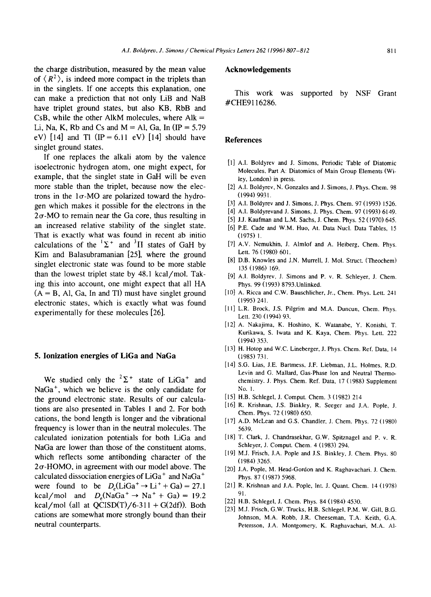the charge distribution, measured by the mean value of  $\langle R^2 \rangle$ , is indeed more compact in the triplets than in the singlets. If one accepts this explanation, one can make a prediction that not only LiB and NaB have triplet ground states, but also KB, RbB and CsB, while the other AlkM molecules, where  $Alk =$ Li, Na, K, Rb and Cs and M = Al, Ga, In  $IP = 5.79$ eV)  $[14]$  and Tl  $(IP = 6.11$  eV)  $[14]$  should have singlet ground states.

If one replaces the alkali atom by the valence isoelectronic hydrogen atom, one might expect, for example, that the singlet state in GaH will be even more stable than the triplet, because now the electrons in the  $1\sigma$ -MO are polarized toward the hydrogen which makes it possible for the electrons in the  $2\sigma$ -MO to remain near the Ga core, thus resulting in an increased relative stability of the singlet state. That is exactly what was found in recent ab initio calculations of the  ${}^{1}\Sigma^{+}$  and  ${}^{3}\Pi$  states of GaH by Kim and Balasubramanian [25], where the ground singlet electronic state was found to be more stable than the lowest triplet state by 48.1 kcal/mol. Taking this into account, one might expect that all HA  $(A = B, A)$ , Ga, In and Tl) must have singlet ground electronic states, which is exactly what was found experimentally for these molecules [26].

#### **5. Ionization energies of LiGa and NaGa**

We studied only the  ${}^{2}\Sigma^{+}$  state of LiGa<sup>+</sup> and  $NaGa<sup>+</sup>$ , which we believe is the only candidate for the ground electronic state. Results of our calculations are also presented in Tables 1 and 2. For both cations, the bond length is longer and the vibrational frequency is lower than in the neutral molecules. The calculated ionization potentials for both LiGa and NaGa are lower than those of the constituent atoms, which reflects some antibonding character of the  $2\sigma$ -HOMO, in agreement with our model above. The calculated dissociation energies of  $LiGa<sup>+</sup>$  and NaGa<sup>+</sup> were found to be  $D_e(LiGa^+ \rightarrow Li^+ + Ga) = 27.1$ kcal/mol and  $D_s(NaGa^+ \rightarrow Na^+ + Ga) = 19.2$ kcal/mol (all at  $OCISD(T)/6-311 + G(2df)$ ). Both cations are somewhat more strongly bound than their neutral counterparts.

#### **Acknowledgements**

This work was supported by NSF Grant #CHE91 16286,

### **References**

- [1] A.I. Boldyrev and J. Simons, Periodic Table of Diatomic Molecules, Part A: Diatomics of Main Group Elements (Wiley, London) in press.
- [2] A.I. Boldyrev, N. Gonzales and J. Simons, J. Phys. Chem. 98 (1994) 9931.
- [3] A.I. Boldyrev and J. Simons, J. Phys. Chem. 97 (1993) 1526.
- [4] A.I. Boldyrevand J. Simons, J. Phys. Chem. 97 (1993) 6149.
- [5] J.J. Kaufman and L.M. Sachs, J. Chem. Phys. 52 (1970) 645.
- [6] P.E. Cade and W.M. Huo, At. Data Nucl. Data Tables, 15 (1975) 1.
- [7] A.V. Nemukhin, J. Almlof and A. Heiberg, Chem. Phys. Lett. 76 (1980) 601.
- [8] D.B. Knowles and J.N. Murrell, J. Mol. Struct. (Theochem) 135 (1986) 169.
- [9] A.i. Boldyrev, J. Simons and P. v. R. Schleyer, J. Chem. Phys. 99 (1993) 8793.Unlinked.
- [10] A. Ricca and C.W. Bauschlicher, Jr., Chem. Phys. Lett. 241 (1995) 241.
- [11] L.R. Brock, J.S. Pilgrim and M.A. Duncun, Chem. Phys. Lett. 230 (1994) 93.
- [12] A. Nakajima, K. Hoshino, K. Watanabe, Y. Konishi, T. Kurikawa, S. lwata and K. Kaya, Chem. Phys. Lett. 222 (1994) 353.
- [13] H. Hotop and W.C. Lineberger, J. Phys. Chem. Ref. Data, 14 (1985) 731.
- [14] S.G. Lias, J.E. Bartmess, J.F. Liebman, J.L. Holmes, R.D. Levin and G. Mallard, Gas-Phase Ion and Neutral Thermochemistry. J. Phys. Chem. Ref. Data, 17 (1988) Supplement No. 1.
- [15] H.B. Schlegel, J. Comput. Chem. 3 (1982) 214
- [16] R. Krishnan, J.S. Binkley, R. Seeger and J.A. Pople, J. Chem. Phys. 72 (1980) 650.
- [17] A.D. McLean and G.S. Chandler, J. Chem. Phys. 72 (1980) 5639.
- [18] T. Clark, J. Chandrasekhar, G.W. Spitznagel and P. v. R. Schleyer, J. Comput. Chem. 4 (1983) 294.
- [19] M.J. Frisch, J.A. Pople and J.S. Binkley, J. Chem. Phys. 80 (1984) 3265.
- [20] J.A. Pople, M. Head-Gordon and K. Raghavachari, J. Chem. Phys. 87 (1987) 5968.
- [21] R. Krishnan and J.A. Pople, Int. J. Quant. Chem. 14 (1978) 91.
- [22] H.B. Schlegel, J. Chem. Phys. 84 (1984) 4530.
- [23] M.J. Frisch, G.W. Trucks, H.B. Schlegel, P.M.W. Gill, B.G. Johnson, M.A. Robb, J.R. Cheeseman, T.A. Keith, G.A. Petersson, J.A. Montgomery, K. Raghavachari, M.A. **A1-**